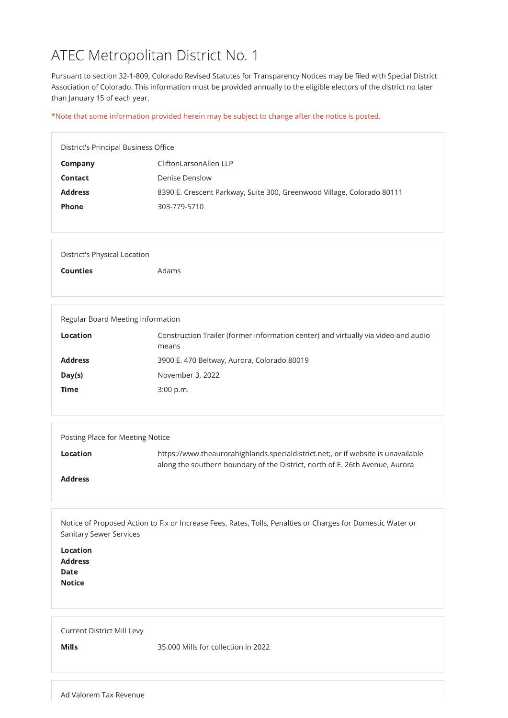# ATEC Metropolitan District No. 1

Pursuant to section 32-1-809, Colorado Revised Statutes for Transparency Notices may be filed with Special District Association of Colorado. This information must be provided annually to the eligible electors of the district no later than January 15 of each year.

\*Note that some information provided herein may be subject to change after the notice is posted.

| District's Principal Business Office |                                                                        |  |
|--------------------------------------|------------------------------------------------------------------------|--|
| Company                              | CliftonLarsonAllen LLP                                                 |  |
| <b>Contact</b>                       | <b>Denise Denslow</b>                                                  |  |
| <b>Address</b>                       | 8390 E. Crescent Parkway, Suite 300, Greenwood Village, Colorado 80111 |  |
| <b>Phone</b>                         | 303-779-5710                                                           |  |
|                                      |                                                                        |  |

| <b>Location</b><br><b>Address</b><br><b>Date</b><br><b>Notice</b> |                                     |
|-------------------------------------------------------------------|-------------------------------------|
| <b>Current District Mill Levy</b><br><b>Mills</b>                 | 35.000 Mills for collection in 2022 |

| District's Physical Location |       |
|------------------------------|-------|
| <b>Counties</b>              | Adams |
|                              |       |

| Regular Board Meeting Information |                                                                                             |  |
|-----------------------------------|---------------------------------------------------------------------------------------------|--|
| <b>Location</b>                   | Construction Trailer (former information center) and virtually via video and audio<br>means |  |
| <b>Address</b>                    | 3900 E. 470 Beltway, Aurora, Colorado 80019                                                 |  |
| Day(s)                            | November 3, 2022                                                                            |  |
| <b>Time</b>                       | $3:00$ p.m.                                                                                 |  |
|                                   |                                                                                             |  |

| Posting Place for Meeting Notice |                                                                                                                                                                   |  |
|----------------------------------|-------------------------------------------------------------------------------------------------------------------------------------------------------------------|--|
| <b>Location</b>                  | https://www.theaurorahighlands.specialdistrict.net;, or if website is unavailable<br>along the southern boundary of the District, north of E. 26th Avenue, Aurora |  |
| <b>Address</b>                   |                                                                                                                                                                   |  |

Notice of Proposed Action to Fix or Increase Fees, Rates, Tolls, Penalties or Charges for Domestic Water or Sanitary Sewer Services

Ad Valorem Tax Revenue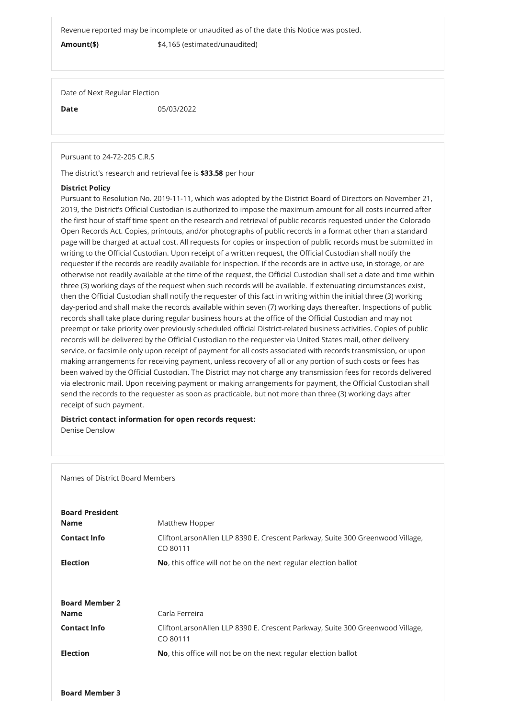Revenue reported may be incomplete or unaudited as of the date this Notice was posted.

Amount(\$)  $$4,165$  (estimated/unaudited)

Date of Next Regular Election

**Date** 05/03/2022

Pursuant to 24-72-205 C.R.S

The district's research and retrieval fee is \$33.58 per hour

## District Policy

Pursuant to Resolution No. 2019-11-11, which was adopted by the District Board of Directors on November 21, 2019, the District's Official Custodian is authorized to impose the maximum amount for all costs incurred after the first hour of staff time spent on the research and retrieval of public records requested under the Colorado Open Records Act. Copies, printouts, and/or photographs of public records in a format other than a standard page will be charged at actual cost. All requests for copies or inspection of public records must be submitted in writing to the Official Custodian. Upon receipt of a written request, the Official Custodian shall notify the requester if the records are readily available for inspection. If the records are in active use, in storage, or are otherwise not readily available at the time of the request, the Official Custodian shall set a date and time within three (3) working days of the request when such records will be available. If extenuating circumstances exist, then the Official Custodian shall notify the requester of this fact in writing within the initial three (3) working day-period and shall make the records available within seven (7) working days thereafter. Inspections of public records shall take place during regular business hours at the office of the Official Custodian and may not preempt or take priority over previously scheduled official District-related business activities. Copies of public records will be delivered by the Official Custodian to the requester via United States mail, other delivery service, or facsimile only upon receipt of payment for all costs associated with records transmission, or upon making arrangements for receiving payment, unless recovery of all or any portion of such costs or fees has been waived by the Official Custodian. The District may not charge any transmission fees for records delivered via electronic mail. Upon receiving payment or making arrangements for payment, the Official Custodian shall send the records to the requester as soon as practicable, but not more than three (3) working days after receipt of such payment.

## District contact information for open records request:

Denise Denslow

Names of District Board Members

# Board President

**Name** Matthew Hopper

Contact Info **COLITHON CONTACT CONTACT CONTACT CONTACT CONTACT CONTACT CONTACT CONTACT CONTACT CONTACT CONTACT** 

Board Member 3

|                       | CO 80111                                                                                  |  |
|-----------------------|-------------------------------------------------------------------------------------------|--|
| <b>Election</b>       | No, this office will not be on the next regular election ballot                           |  |
|                       |                                                                                           |  |
| <b>Board Member 2</b> |                                                                                           |  |
| <b>Name</b>           | Carla Ferreira                                                                            |  |
| <b>Contact Info</b>   | CliftonLarsonAllen LLP 8390 E. Crescent Parkway, Suite 300 Greenwood Village,<br>CO 80111 |  |
| <b>Election</b>       | No, this office will not be on the next regular election ballot                           |  |
|                       |                                                                                           |  |
|                       |                                                                                           |  |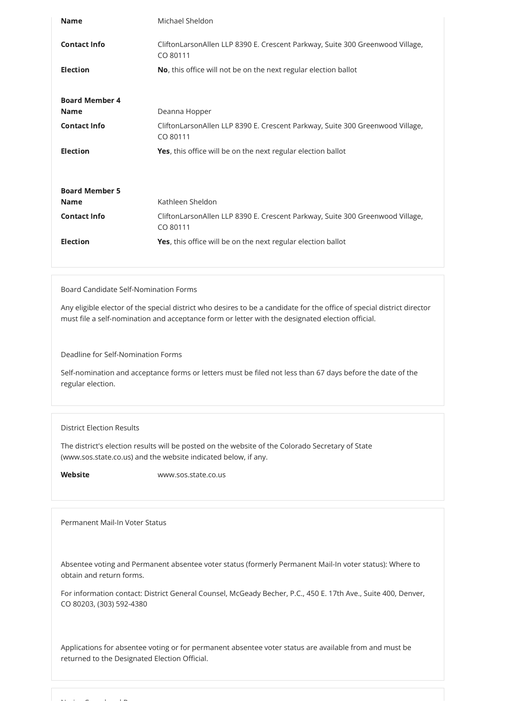| <b>Name</b>           | Michael Sheldon                                                                           |
|-----------------------|-------------------------------------------------------------------------------------------|
| <b>Contact Info</b>   | CliftonLarsonAllen LLP 8390 E. Crescent Parkway, Suite 300 Greenwood Village,<br>CO 80111 |
| <b>Election</b>       | No, this office will not be on the next regular election ballot                           |
| <b>Board Member 4</b> |                                                                                           |
| <b>Name</b>           | Deanna Hopper                                                                             |
| <b>Contact Info</b>   | CliftonLarsonAllen LLP 8390 E. Crescent Parkway, Suite 300 Greenwood Village,<br>CO 80111 |
| <b>Election</b>       | Yes, this office will be on the next regular election ballot                              |
|                       |                                                                                           |
| <b>Board Member 5</b> |                                                                                           |
| <b>Name</b>           | Kathleen Sheldon                                                                          |
| <b>Contact Info</b>   | CliftonLarsonAllen LLP 8390 E. Crescent Parkway, Suite 300 Greenwood Village,<br>CO 80111 |
| <b>Election</b>       | Yes, this office will be on the next regular election ballot                              |
|                       |                                                                                           |

# Board Candidate Self-Nomination Forms

Any eligible elector of the special district who desires to be a candidate for the office of special district director must file a self-nomination and acceptance form or letter with the designated election official.

Deadline for Self-Nomination Forms

Self-nomination and acceptance forms or letters must be filed not less than 67 days before the date of the regular election.

## District Election Results

The district's election results will be posted on the website of the Colorado Secretary of State (www.sos.state.co.us) and the website indicated below, if any.

Website www.sos.state.co.us

Permanent Mail-In Voter Status

Absentee voting and Permanent absentee voter status (formerly Permanent Mail-In voter status): Where to obtain and return forms.

For information contact: District General Counsel, McGeady Becher, P.C., 450 E. 17th Ave., Suite 400, Denver, CO 80203, (303) 592-4380

Applications for absentee voting or for permanent absentee voter status are available from and must be returned to the Designated Election Official.

N i C l d B